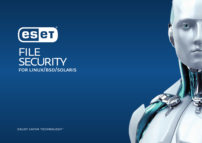

# **FILE** SECURITY FOR LINUX/BSD/SOLARIS

**ENJOY SAFER TECHNOLOGY**